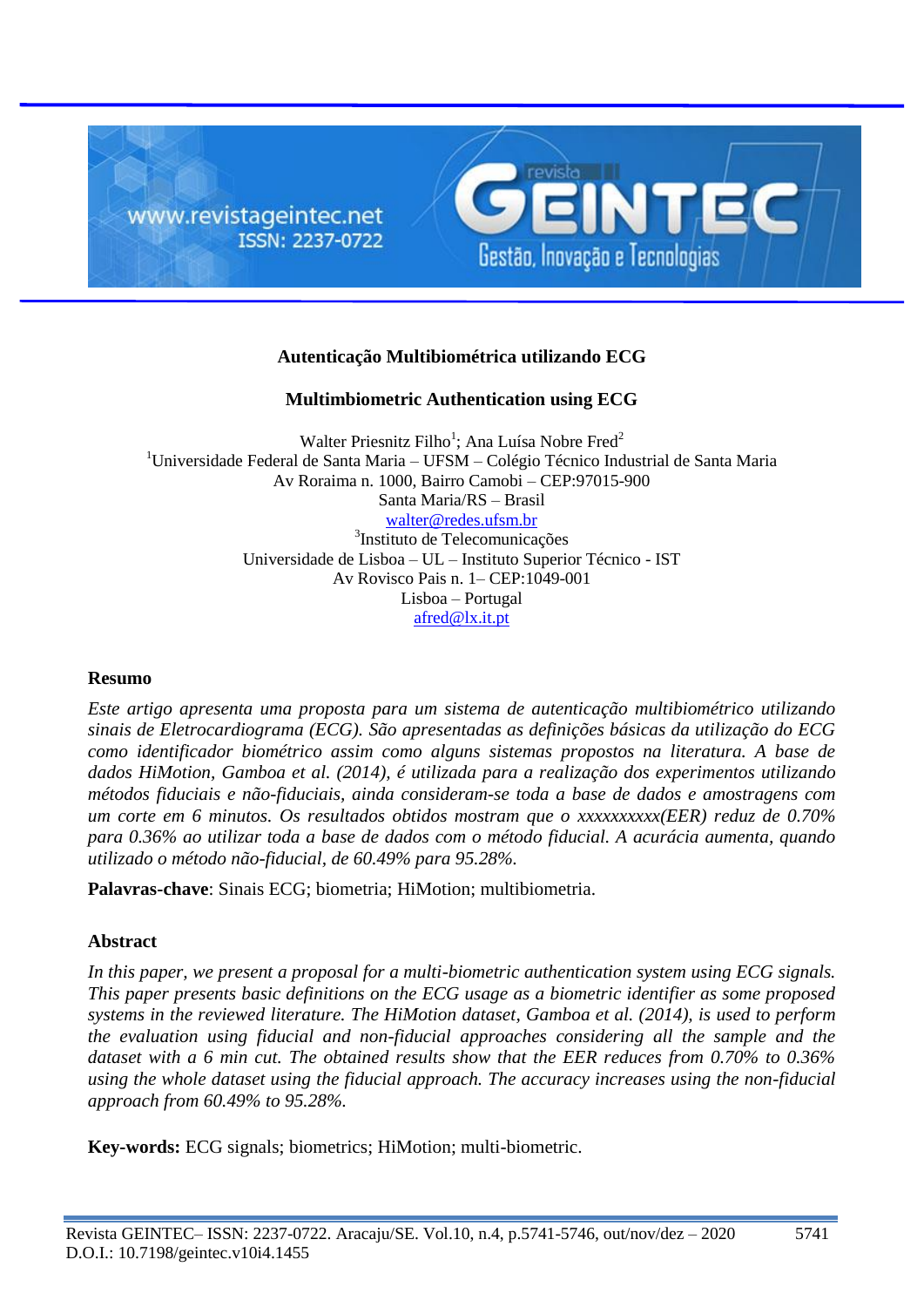

# **Autenticação Multibiométrica utilizando ECG**

# **Multimbiometric Authentication using ECG**

Walter Priesnitz Filho<sup>1</sup>; Ana Luísa Nobre Fred<sup>2</sup>  $1$ Universidade Federal de Santa Maria – UFSM – Colégio Técnico Industrial de Santa Maria Av Roraima n. 1000, Bairro Camobi – CEP:97015-900 Santa Maria/RS – Brasil [walter@redes.ufsm.br](mailto:walter@redes.ufsm.br) 3 Instituto de Telecomunicações Universidade de Lisboa – UL – Instituto Superior Técnico - IST Av Rovisco Pais n. 1– CEP:1049-001 Lisboa – Portugal [afred@lx.it.pt](mailto:afred@lx.it.pt)

#### **Resumo**

*Este artigo apresenta uma proposta para um sistema de autenticação multibiométrico utilizando sinais de Eletrocardiograma (ECG). São apresentadas as definições básicas da utilização do ECG como identificador biométrico assim como alguns sistemas propostos na literatura. A base de dados HiMotion, Gamboa et al. (2014), é utilizada para a realização dos experimentos utilizando métodos fiduciais e não-fiduciais, ainda consideram-se toda a base de dados e amostragens com um corte em 6 minutos. Os resultados obtidos mostram que o xxxxxxxxxx(EER) reduz de 0.70% para 0.36% ao utilizar toda a base de dados com o método fiducial. A acurácia aumenta, quando utilizado o método não-fiducial, de 60.49% para 95.28%.*

**Palavras-chave**: Sinais ECG; biometria; HiMotion; multibiometria.

#### **Abstract**

*In this paper, we present a proposal for a multi-biometric authentication system using ECG signals. This paper presents basic definitions on the ECG usage as a biometric identifier as some proposed systems in the reviewed literature. The HiMotion dataset, Gamboa et al. (2014), is used to perform the evaluation using fiducial and non-fiducial approaches considering all the sample and the dataset with a 6 min cut. The obtained results show that the EER reduces from 0.70% to 0.36% using the whole dataset using the fiducial approach. The accuracy increases using the non-fiducial approach from 60.49% to 95.28%.*

**Key-words:** ECG signals; biometrics; HiMotion; multi-biometric.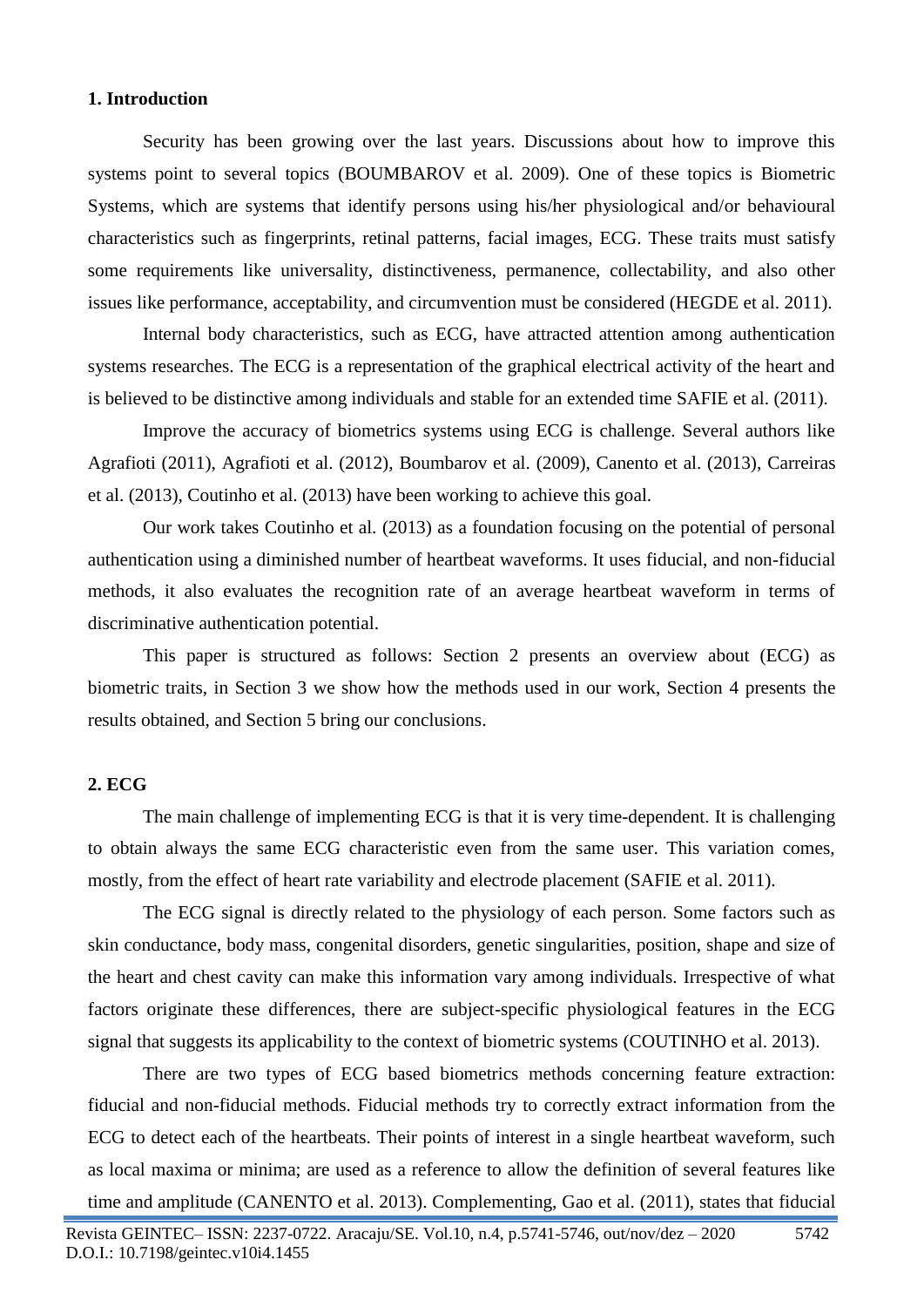#### **1. Introduction**

Security has been growing over the last years. Discussions about how to improve this systems point to several topics (BOUMBAROV et al. 2009). One of these topics is Biometric Systems, which are systems that identify persons using his/her physiological and/or behavioural characteristics such as fingerprints, retinal patterns, facial images, ECG. These traits must satisfy some requirements like universality, distinctiveness, permanence, collectability, and also other issues like performance, acceptability, and circumvention must be considered (HEGDE et al. 2011).

Internal body characteristics, such as ECG, have attracted attention among authentication systems researches. The ECG is a representation of the graphical electrical activity of the heart and is believed to be distinctive among individuals and stable for an extended time SAFIE et al. (2011).

Improve the accuracy of biometrics systems using ECG is challenge. Several authors like Agrafioti (2011), Agrafioti et al. (2012), Boumbarov et al. (2009), Canento et al. (2013), Carreiras et al. (2013), Coutinho et al. (2013) have been working to achieve this goal.

Our work takes Coutinho et al. (2013) as a foundation focusing on the potential of personal authentication using a diminished number of heartbeat waveforms. It uses fiducial, and non-fiducial methods, it also evaluates the recognition rate of an average heartbeat waveform in terms of discriminative authentication potential.

This paper is structured as follows: Section 2 presents an overview about (ECG) as biometric traits, in Section 3 we show how the methods used in our work, Section 4 presents the results obtained, and Section 5 bring our conclusions.

#### **2. ECG**

The main challenge of implementing ECG is that it is very time-dependent. It is challenging to obtain always the same ECG characteristic even from the same user. This variation comes, mostly, from the effect of heart rate variability and electrode placement (SAFIE et al. 2011).

The ECG signal is directly related to the physiology of each person. Some factors such as skin conductance, body mass, congenital disorders, genetic singularities, position, shape and size of the heart and chest cavity can make this information vary among individuals. Irrespective of what factors originate these differences, there are subject-specific physiological features in the ECG signal that suggests its applicability to the context of biometric systems (COUTINHO et al. 2013).

There are two types of ECG based biometrics methods concerning feature extraction: fiducial and non-fiducial methods. Fiducial methods try to correctly extract information from the ECG to detect each of the heartbeats. Their points of interest in a single heartbeat waveform, such as local maxima or minima; are used as a reference to allow the definition of several features like time and amplitude (CANENTO et al. 2013). Complementing, Gao et al. (2011), states that fiducial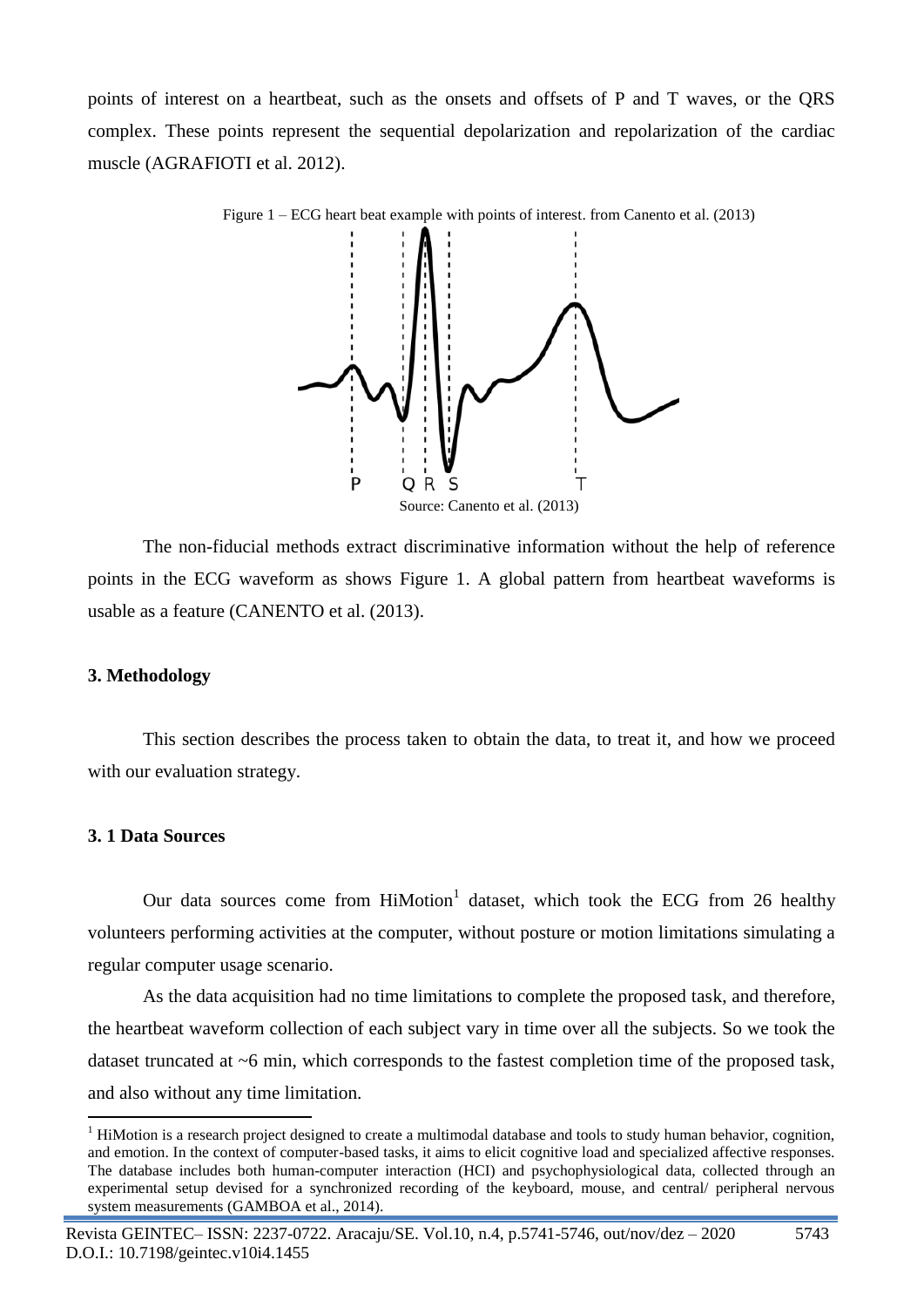points of interest on a heartbeat, such as the onsets and offsets of P and T waves, or the QRS complex. These points represent the sequential depolarization and repolarization of the cardiac muscle (AGRAFIOTI et al. 2012).



Figure 1 – ECG heart beat example with points of interest. from Canento et al. (2013)

The non-fiducial methods extract discriminative information without the help of reference points in the ECG waveform as shows Figure 1. A global pattern from heartbeat waveforms is usable as a feature (CANENTO et al. (2013).

#### **3. Methodology**

This section describes the process taken to obtain the data, to treat it, and how we proceed with our evaluation strategy.

#### **3. 1 Data Sources**

1

Our data sources come from  $HiMotion<sup>1</sup>$  dataset, which took the ECG from 26 healthy volunteers performing activities at the computer, without posture or motion limitations simulating a regular computer usage scenario.

As the data acquisition had no time limitations to complete the proposed task, and therefore, the heartbeat waveform collection of each subject vary in time over all the subjects. So we took the dataset truncated at ~6 min, which corresponds to the fastest completion time of the proposed task, and also without any time limitation.

<sup>&</sup>lt;sup>1</sup> HiMotion is a research project designed to create a multimodal database and tools to study human behavior, cognition, and emotion. In the context of computer-based tasks, it aims to elicit cognitive load and specialized affective responses. The database includes both human-computer interaction (HCI) and psychophysiological data, collected through an experimental setup devised for a synchronized recording of the keyboard, mouse, and central/ peripheral nervous system measurements (GAMBOA et al., 2014).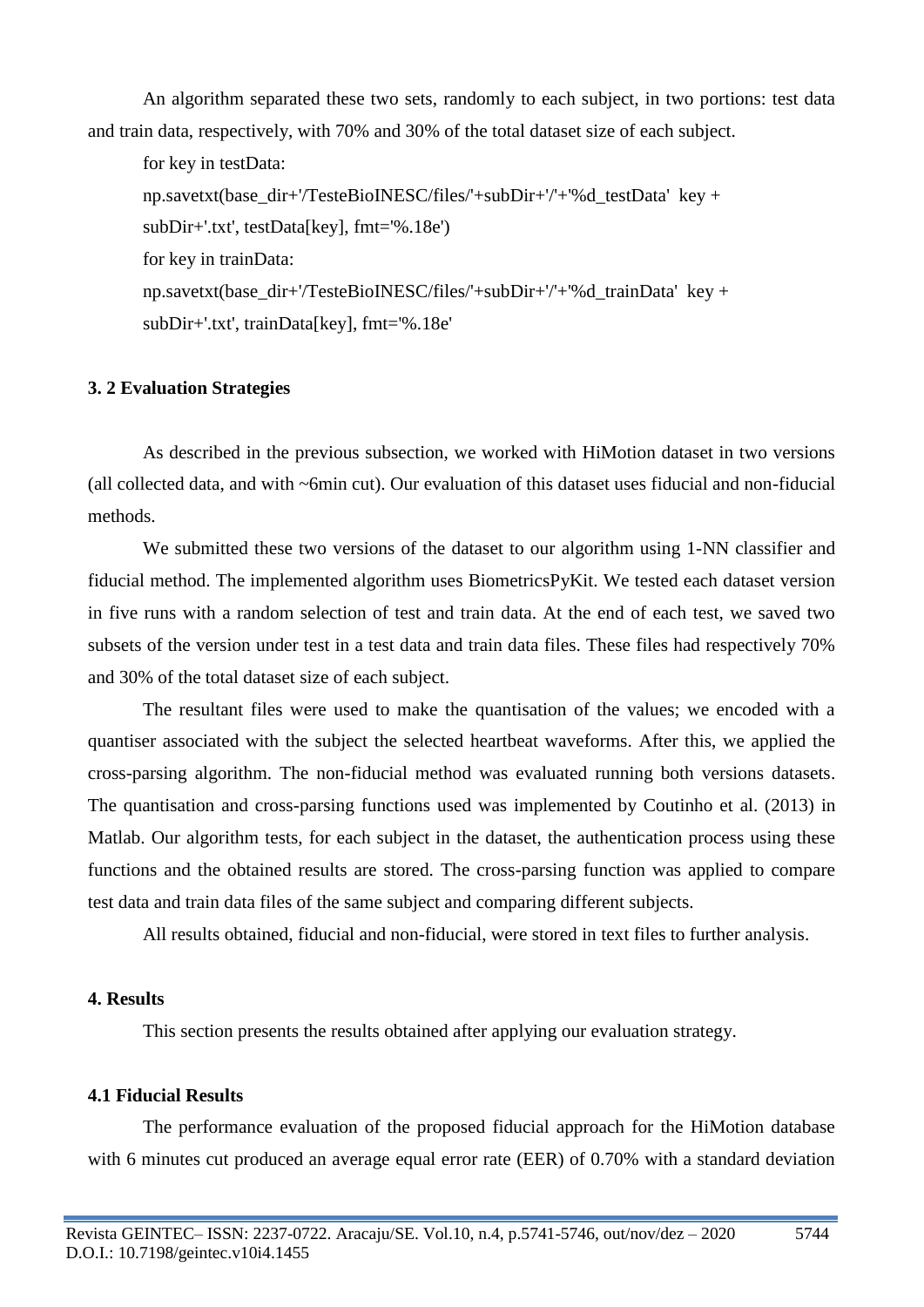An algorithm separated these two sets, randomly to each subject, in two portions: test data and train data, respectively, with 70% and 30% of the total dataset size of each subject.

for key in testData: np.savetxt(base\_dir+'/TesteBioINESC/files/'+subDir+'/'+'%d\_testData' key + subDir+'.txt', testData[key], fmt='%.18e') for key in trainData: np.savetxt(base\_dir+'/TesteBioINESC/files/'+subDir+'/'+'%d\_trainData' key + subDir+'.txt', trainData[key], fmt='%.18e'

### **3. 2 Evaluation Strategies**

As described in the previous subsection, we worked with HiMotion dataset in two versions (all collected data, and with ~6min cut). Our evaluation of this dataset uses fiducial and non-fiducial methods.

We submitted these two versions of the dataset to our algorithm using 1-NN classifier and fiducial method. The implemented algorithm uses BiometricsPyKit. We tested each dataset version in five runs with a random selection of test and train data. At the end of each test, we saved two subsets of the version under test in a test data and train data files. These files had respectively 70% and 30% of the total dataset size of each subject.

The resultant files were used to make the quantisation of the values; we encoded with a quantiser associated with the subject the selected heartbeat waveforms. After this, we applied the cross-parsing algorithm. The non-fiducial method was evaluated running both versions datasets. The quantisation and cross-parsing functions used was implemented by Coutinho et al. (2013) in Matlab. Our algorithm tests, for each subject in the dataset, the authentication process using these functions and the obtained results are stored. The cross-parsing function was applied to compare test data and train data files of the same subject and comparing different subjects.

All results obtained, fiducial and non-fiducial, were stored in text files to further analysis.

### **4. Results**

This section presents the results obtained after applying our evaluation strategy.

## **4.1 Fiducial Results**

The performance evaluation of the proposed fiducial approach for the HiMotion database with 6 minutes cut produced an average equal error rate (EER) of 0.70% with a standard deviation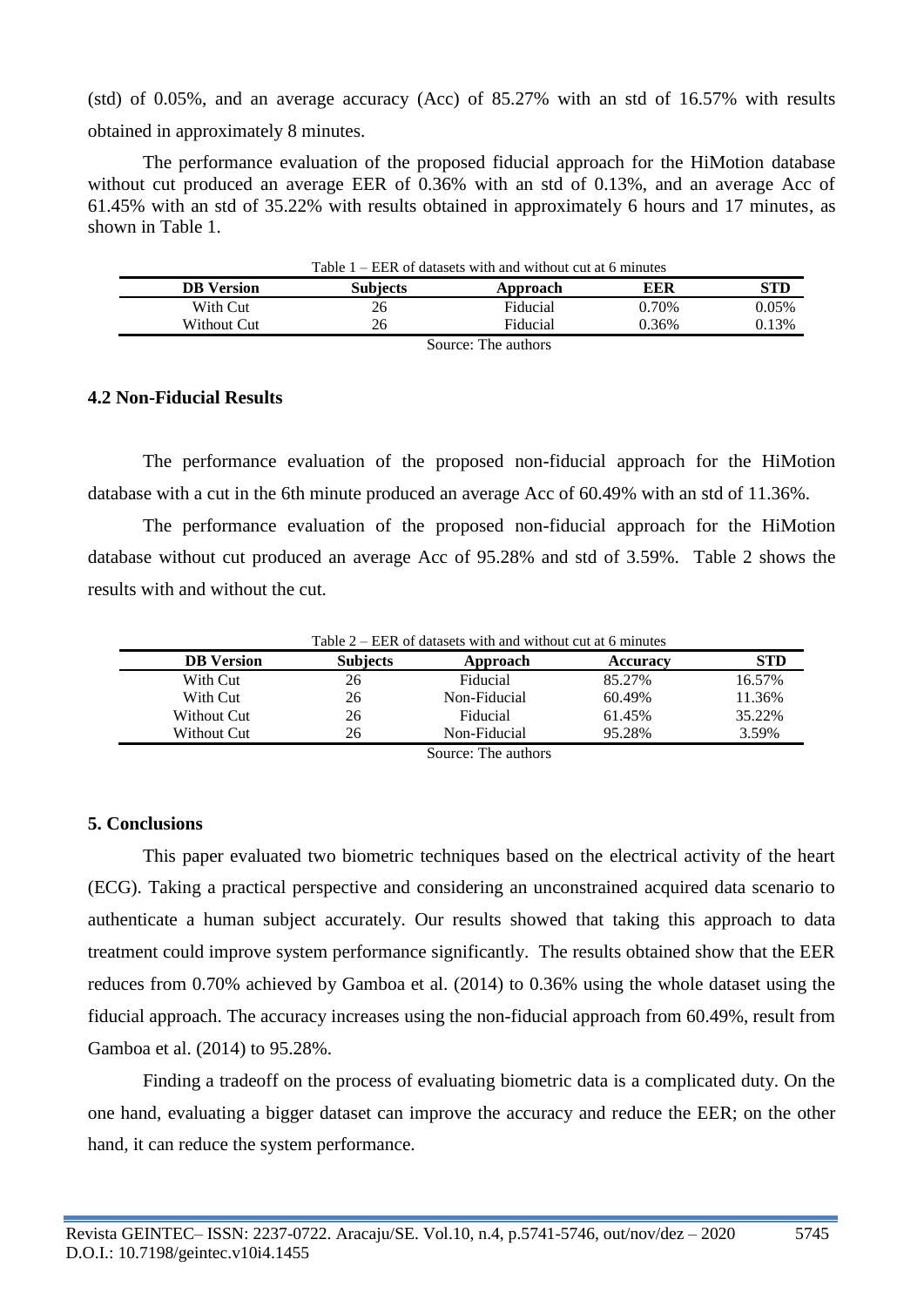(std) of 0.05%, and an average accuracy (Acc) of 85.27% with an std of 16.57% with results obtained in approximately 8 minutes.

The performance evaluation of the proposed fiducial approach for the HiMotion database without cut produced an average EER of 0.36% with an std of 0.13%, and an average Acc of 61.45% with an std of 35.22% with results obtained in approximately 6 hours and 17 minutes, as shown in Table 1.

| Table $1 - EER$ of datasets with and without cut at 6 minutes |                 |                     |       |       |  |  |
|---------------------------------------------------------------|-----------------|---------------------|-------|-------|--|--|
| DB Version                                                    | <b>Subjects</b> | Approach            | EER   | STD   |  |  |
| With Cut                                                      | 26              | Fiducial            | 0.70% | 0.05% |  |  |
| Without Cut                                                   | 26              | Fiducial            | 0.36% | 0.13% |  |  |
|                                                               |                 | Source: The authors |       |       |  |  |

#### **4.2 Non-Fiducial Results**

The performance evaluation of the proposed non-fiducial approach for the HiMotion database with a cut in the 6th minute produced an average Acc of 60.49% with an std of 11.36%.

The performance evaluation of the proposed non-fiducial approach for the HiMotion database without cut produced an average Acc of 95.28% and std of 3.59%. Table 2 shows the results with and without the cut.

| Table $2 - EER$ of datasets with and without cut at 6 minutes |                 |                   |          |            |  |  |
|---------------------------------------------------------------|-----------------|-------------------|----------|------------|--|--|
| <b>DB</b> Version                                             | <b>Subjects</b> | Approach          | Accuracy | <b>STD</b> |  |  |
| With Cut                                                      | 26              | Fiducial          | 85.27%   | 16.57%     |  |  |
| With Cut                                                      | 26              | Non-Fiducial      | 60.49%   | 11.36%     |  |  |
| Without Cut                                                   | 26              | Fiducial          | 61.45%   | 35.22%     |  |  |
| Without Cut                                                   | 26              | Non-Fiducial      | 95.28%   | 3.59%      |  |  |
|                                                               |                 | Common The mother |          |            |  |  |

Source: The authors

## **5. Conclusions**

This paper evaluated two biometric techniques based on the electrical activity of the heart (ECG). Taking a practical perspective and considering an unconstrained acquired data scenario to authenticate a human subject accurately. Our results showed that taking this approach to data treatment could improve system performance significantly. The results obtained show that the EER reduces from 0.70% achieved by Gamboa et al. (2014) to 0.36% using the whole dataset using the fiducial approach. The accuracy increases using the non-fiducial approach from 60.49%, result from Gamboa et al. (2014) to 95.28%.

Finding a tradeoff on the process of evaluating biometric data is a complicated duty. On the one hand, evaluating a bigger dataset can improve the accuracy and reduce the EER; on the other hand, it can reduce the system performance.